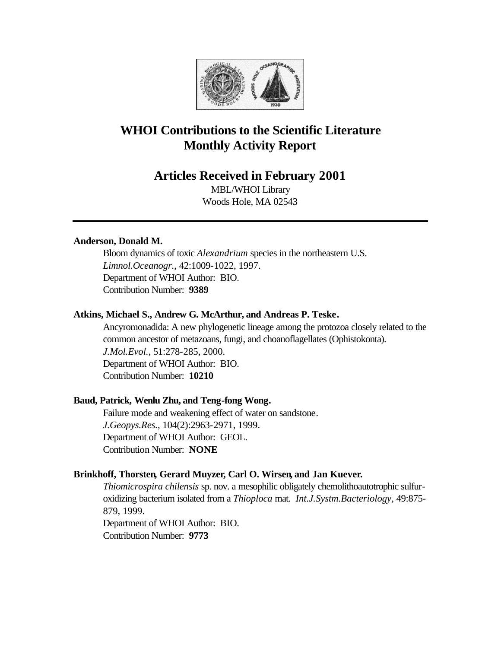

# **WHOI Contributions to the Scientific Literature Monthly Activity Report**

## **Articles Received in February 2001**

MBL/WHOI Library Woods Hole, MA 02543

## **Anderson, Donald M.**

Bloom dynamics of toxic *Alexandrium* species in the northeastern U.S. *Limnol.Oceanogr.*, 42:1009-1022, 1997. Department of WHOI Author: BIO. Contribution Number: **9389**

#### **Atkins, Michael S., Andrew G. McArthur, and Andreas P. Teske.**

Ancyromonadida: A new phylogenetic lineage among the protozoa closely related to the common ancestor of metazoans, fungi, and choanoflagellates (Ophistokonta). *J.Mol.Evol.*, 51:278-285, 2000. Department of WHOI Author: BIO. Contribution Number: **10210**

#### **Baud, Patrick, Wenlu Zhu, and Teng-fong Wong.**

Failure mode and weakening effect of water on sandstone. *J.Geopys.Res.*, 104(2):2963-2971, 1999. Department of WHOI Author: GEOL. Contribution Number: **NONE**

#### **Brinkhoff, Thorsten, Gerard Muyzer, Carl O. Wirsen, and Jan Kuever.**

*Thiomicrospira chilensis* sp. nov. a mesophilic obligately chemolithoautotrophic sulfuroxidizing bacterium isolated from a *Thioploca* mat. *Int.J.Systm.Bacteriology*, 49:875- 879, 1999. Department of WHOI Author: BIO. Contribution Number: **9773**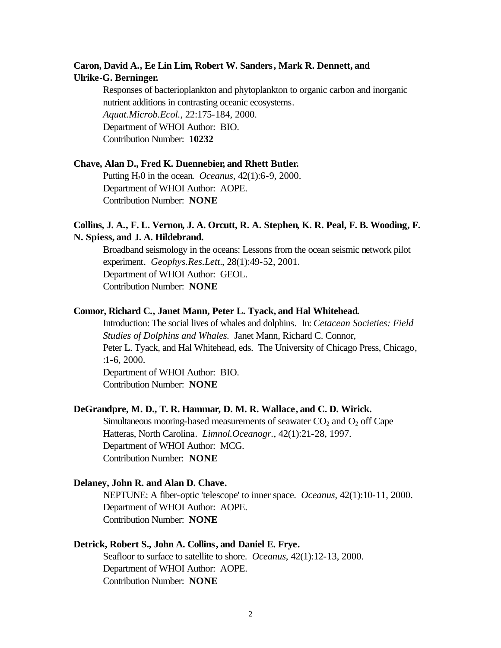## **Caron, David A., Ee Lin Lim, Robert W. Sanders, Mark R. Dennett, and Ulrike-G. Berninger.**

Responses of bacterioplankton and phytoplankton to organic carbon and inorganic nutrient additions in contrasting oceanic ecosystems. *Aquat.Microb.Ecol.*, 22:175-184, 2000. Department of WHOI Author: BIO. Contribution Number: **10232**

#### **Chave, Alan D., Fred K. Duennebier, and Rhett Butler.**

Putting H20 in the ocean. *Oceanus*, 42(1):6-9, 2000. Department of WHOI Author: AOPE. Contribution Number: **NONE**

## **Collins, J. A., F. L. Vernon, J. A. Orcutt, R. A. Stephen, K. R. Peal, F. B. Wooding, F. N. Spiess, and J. A. Hildebrand.**

Broadband seismology in the oceans: Lessons from the ocean seismic network pilot experiment. *Geophys.Res.Lett.*, 28(1):49-52, 2001. Department of WHOI Author: GEOL. Contribution Number: **NONE**

#### **Connor, Richard C., Janet Mann, Peter L. Tyack, and Hal Whitehead.**

Introduction: The social lives of whales and dolphins. In: *Cetacean Societies: Field Studies of Dolphins and Whales.* Janet Mann, Richard C. Connor, Peter L. Tyack, and Hal Whitehead, eds. The University of Chicago Press, Chicago, :1-6, 2000.

Department of WHOI Author: BIO. Contribution Number: **NONE**

#### **DeGrandpre, M. D., T. R. Hammar, D. M. R. Wallace, and C. D. Wirick.**

Simultaneous mooring-based measurements of seawater  $CO<sub>2</sub>$  and  $O<sub>2</sub>$  off Cape Hatteras, North Carolina. *Limnol.Oceanogr.*, 42(1):21-28, 1997. Department of WHOI Author: MCG. Contribution Number: **NONE**

#### **Delaney, John R. and Alan D. Chave.**

NEPTUNE: A fiber-optic 'telescope' to inner space. *Oceanus*, 42(1):10-11, 2000. Department of WHOI Author: AOPE. Contribution Number: **NONE**

#### **Detrick, Robert S., John A. Collins, and Daniel E. Frye.**

Seafloor to surface to satellite to shore. *Oceanus*, 42(1):12-13, 2000. Department of WHOI Author: AOPE. Contribution Number: **NONE**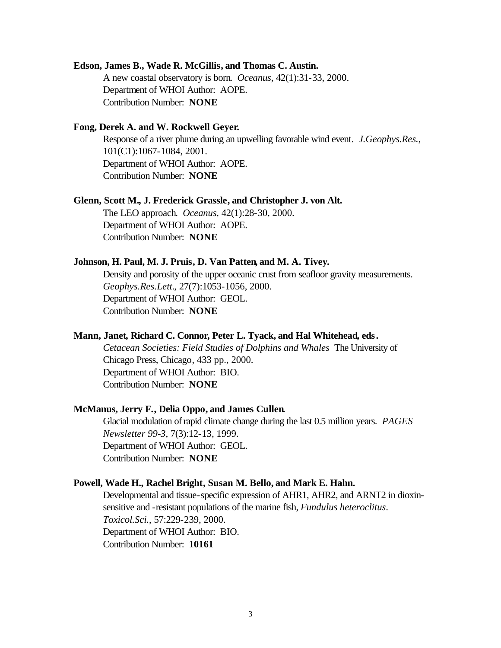#### **Edson, James B., Wade R. McGillis, and Thomas C. Austin.**

A new coastal observatory is born. *Oceanus*, 42(1):31-33, 2000. Department of WHOI Author: AOPE. Contribution Number: **NONE**

#### **Fong, Derek A. and W. Rockwell Geyer.**

Response of a river plume during an upwelling favorable wind event. *J.Geophys.Res.*, 101(C1):1067-1084, 2001. Department of WHOI Author: AOPE. Contribution Number: **NONE**

#### **Glenn, Scott M., J. Frederick Grassle, and Christopher J. von Alt.**

The LEO approach. *Oceanus*, 42(1):28-30, 2000. Department of WHOI Author: AOPE. Contribution Number: **NONE**

#### **Johnson, H. Paul, M. J. Pruis, D. Van Patten, and M. A. Tivey.**

Density and porosity of the upper oceanic crust from seafloor gravity measurements. *Geophys.Res.Lett.*, 27(7):1053-1056, 2000. Department of WHOI Author: GEOL. Contribution Number: **NONE**

#### **Mann, Janet, Richard C. Connor, Peter L. Tyack, and Hal Whitehead, eds.**

*Cetacean Societies: Field Studies of Dolphins and Whales* The University of Chicago Press, Chicago, 433 pp., 2000. Department of WHOI Author: BIO. Contribution Number: **NONE**

#### **McManus, Jerry F., Delia Oppo, and James Cullen.**

Glacial modulation of rapid climate change during the last 0.5 million years. *PAGES Newsletter 99-3*, 7(3):12-13, 1999. Department of WHOI Author: GEOL. Contribution Number: **NONE**

#### **Powell, Wade H., Rachel Bright, Susan M. Bello, and Mark E. Hahn.**

Developmental and tissue-specific expression of AHR1, AHR2, and ARNT2 in dioxinsensitive and -resistant populations of the marine fish, *Fundulus heteroclitus*. *Toxicol.Sci.*, 57:229-239, 2000. Department of WHOI Author: BIO. Contribution Number: **10161**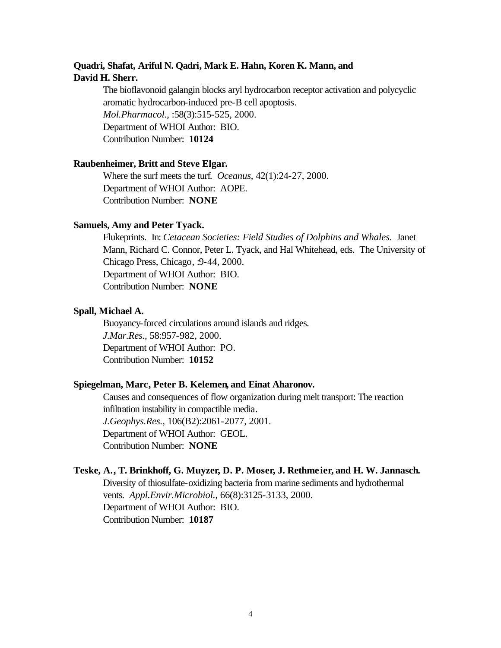## **Quadri, Shafat, Ariful N. Qadri, Mark E. Hahn, Koren K. Mann, and David H. Sherr.**

The bioflavonoid galangin blocks aryl hydrocarbon receptor activation and polycyclic aromatic hydrocarbon-induced pre-B cell apoptosis. *Mol.Pharmacol.*, :58(3):515-525, 2000. Department of WHOI Author: BIO. Contribution Number: **10124**

## **Raubenheimer, Britt and Steve Elgar.**

Where the surf meets the turf. *Oceanus*, 42(1):24-27, 2000. Department of WHOI Author: AOPE. Contribution Number: **NONE**

#### **Samuels, Amy and Peter Tyack.**

Flukeprints. In: *Cetacean Societies: Field Studies of Dolphins and Whales*. Janet Mann, Richard C. Connor, Peter L. Tyack, and Hal Whitehead, eds. The University of Chicago Press, Chicago, :9-44, 2000. Department of WHOI Author: BIO. Contribution Number: **NONE**

#### **Spall, Michael A.**

Buoyancy-forced circulations around islands and ridges. *J.Mar.Res.*, 58:957-982, 2000. Department of WHOI Author: PO. Contribution Number: **10152**

## **Spiegelman, Marc, Peter B. Kelemen, and Einat Aharonov.**

Causes and consequences of flow organization during melt transport: The reaction infiltration instability in compactible media. *J.Geophys.Res.*, 106(B2):2061-2077, 2001. Department of WHOI Author: GEOL. Contribution Number: **NONE**

## **Teske, A., T. Brinkhoff, G. Muyzer, D. P. Moser, J. Rethmeier, and H. W. Jannasch.**

Diversity of thiosulfate-oxidizing bacteria from marine sediments and hydrothermal vents. *Appl.Envir.Microbiol.*, 66(8):3125-3133, 2000. Department of WHOI Author: BIO. Contribution Number: **10187**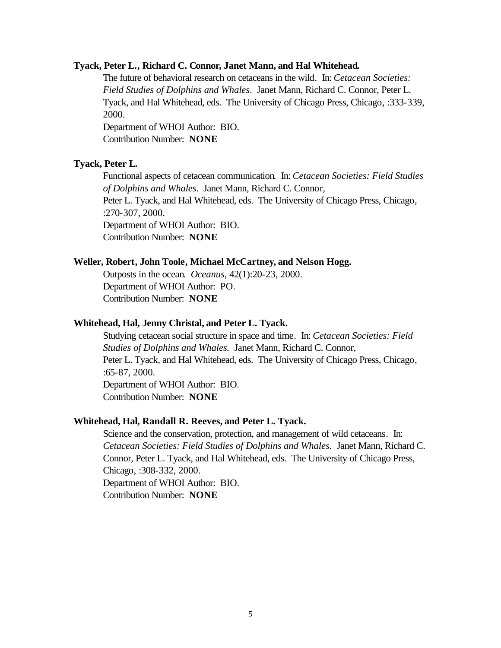#### **Tyack, Peter L., Richard C. Connor, Janet Mann, and Hal Whitehead.**

The future of behavioral research on cetaceans in the wild. In: *Cetacean Societies: Field Studies of Dolphins and Whales*. Janet Mann, Richard C. Connor, Peter L. Tyack, and Hal Whitehead, eds. The University of Chicago Press, Chicago, :333-339, 2000.

Department of WHOI Author: BIO. Contribution Number: **NONE**

#### **Tyack, Peter L.**

Functional aspects of cetacean communication. In: *Cetacean Societies: Field Studies of Dolphins and Whales*. Janet Mann, Richard C. Connor, Peter L. Tyack, and Hal Whitehead, eds. The University of Chicago Press, Chicago, :270-307, 2000. Department of WHOI Author: BIO. Contribution Number: **NONE**

#### **Weller, Robert, John Toole, Michael McCartney, and Nelson Hogg.**

Outposts in the ocean. *Oceanus*, 42(1):20-23, 2000. Department of WHOI Author: PO. Contribution Number: **NONE**

## **Whitehead, Hal, Jenny Christal, and Peter L. Tyack.**

Studying cetacean social structure in space and time. In: *Cetacean Societies: Field Studies of Dolphins and Whales.* Janet Mann, Richard C. Connor, Peter L. Tyack, and Hal Whitehead, eds. The University of Chicago Press, Chicago, :65-87, 2000. Department of WHOI Author: BIO. Contribution Number: **NONE**

#### **Whitehead, Hal, Randall R. Reeves, and Peter L. Tyack.**

Science and the conservation, protection, and management of wild cetaceans. In: *Cetacean Societies: Field Studies of Dolphins and Whales.* Janet Mann, Richard C. Connor, Peter L. Tyack, and Hal Whitehead, eds. The University of Chicago Press, Chicago, :308-332, 2000. Department of WHOI Author: BIO. Contribution Number: **NONE**